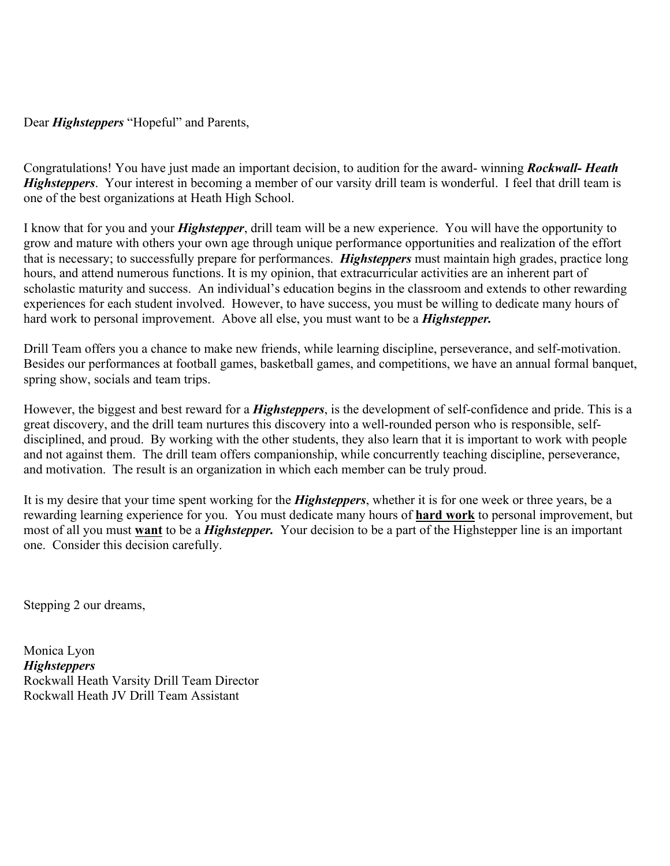Dear *Highsteppers* "Hopeful" and Parents,

Congratulations! You have just made an important decision, to audition for the award- winning *Rockwall- Heath Highsteppers*. Your interest in becoming a member of our varsity drill team is wonderful. I feel that drill team is one of the best organizations at Heath High School.

I know that for you and your *Highstepper*, drill team will be a new experience. You will have the opportunity to grow and mature with others your own age through unique performance opportunities and realization of the effort that is necessary; to successfully prepare for performances. *Highsteppers* must maintain high grades, practice long hours, and attend numerous functions. It is my opinion, that extracurricular activities are an inherent part of scholastic maturity and success. An individual's education begins in the classroom and extends to other rewarding experiences for each student involved. However, to have success, you must be willing to dedicate many hours of hard work to personal improvement. Above all else, you must want to be a *Highstepper.*

Drill Team offers you a chance to make new friends, while learning discipline, perseverance, and self-motivation. Besides our performances at football games, basketball games, and competitions, we have an annual formal banquet, spring show, socials and team trips.

However, the biggest and best reward for a *Highsteppers*, is the development of self-confidence and pride. This is a great discovery, and the drill team nurtures this discovery into a well-rounded person who is responsible, selfdisciplined, and proud. By working with the other students, they also learn that it is important to work with people and not against them. The drill team offers companionship, while concurrently teaching discipline, perseverance, and motivation. The result is an organization in which each member can be truly proud.

It is my desire that your time spent working for the *Highsteppers*, whether it is for one week or three years, be a rewarding learning experience for you. You must dedicate many hours of **hard work** to personal improvement, but most of all you must **want** to be a *Highstepper.* Your decision to be a part of the Highstepper line is an important one. Consider this decision carefully.

Stepping 2 our dreams,

Monica Lyon *Highsteppers* Rockwall Heath Varsity Drill Team Director Rockwall Heath JV Drill Team Assistant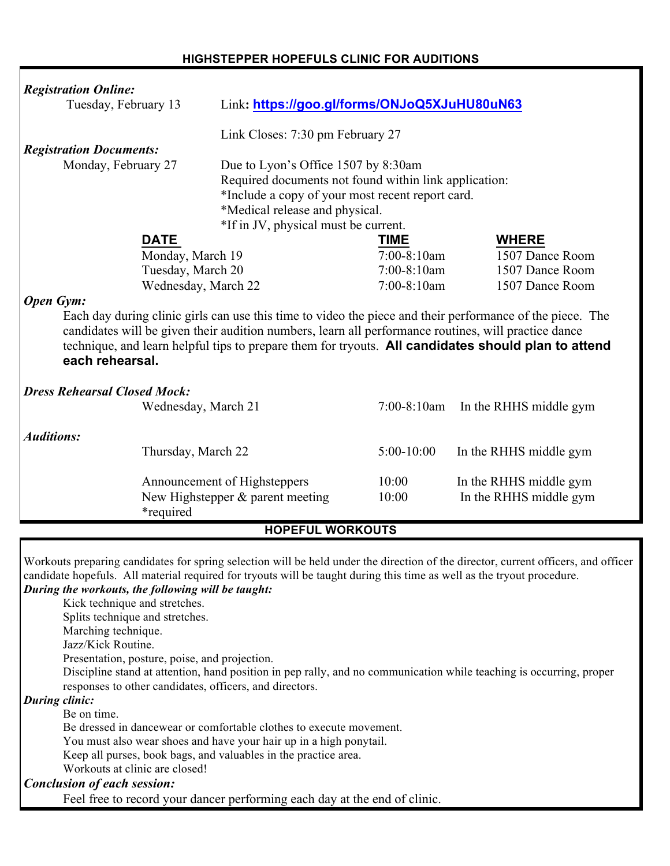| <b>Registration Online:</b>                                                                                         |                     |                                                                                                                        |                |                                                                                                                                    |  |
|---------------------------------------------------------------------------------------------------------------------|---------------------|------------------------------------------------------------------------------------------------------------------------|----------------|------------------------------------------------------------------------------------------------------------------------------------|--|
| Tuesday, February 13                                                                                                |                     | Link: https://goo.gl/forms/ONJoQ5XJuHU80uN63                                                                           |                |                                                                                                                                    |  |
|                                                                                                                     |                     | Link Closes: 7:30 pm February 27                                                                                       |                |                                                                                                                                    |  |
| <b>Registration Documents:</b>                                                                                      |                     |                                                                                                                        |                |                                                                                                                                    |  |
| Monday, February 27                                                                                                 |                     | Due to Lyon's Office 1507 by 8:30am                                                                                    |                |                                                                                                                                    |  |
|                                                                                                                     |                     | Required documents not found within link application:                                                                  |                |                                                                                                                                    |  |
|                                                                                                                     |                     | *Include a copy of your most recent report card.                                                                       |                |                                                                                                                                    |  |
|                                                                                                                     |                     | *Medical release and physical.                                                                                         |                |                                                                                                                                    |  |
|                                                                                                                     |                     | *If in JV, physical must be current.                                                                                   |                |                                                                                                                                    |  |
|                                                                                                                     | <b>DATE</b>         |                                                                                                                        | <b>TIME</b>    | <b>WHERE</b>                                                                                                                       |  |
|                                                                                                                     | Monday, March 19    |                                                                                                                        | $7:00-8:10am$  | 1507 Dance Room                                                                                                                    |  |
|                                                                                                                     | Tuesday, March 20   |                                                                                                                        | 7:00-8:10am    | 1507 Dance Room                                                                                                                    |  |
|                                                                                                                     | Wednesday, March 22 |                                                                                                                        | $7:00-8:10am$  | 1507 Dance Room                                                                                                                    |  |
| <b>Open Gym:</b>                                                                                                    |                     |                                                                                                                        |                |                                                                                                                                    |  |
|                                                                                                                     |                     |                                                                                                                        |                | Each day during clinic girls can use this time to video the piece and their performance of the piece. The                          |  |
|                                                                                                                     |                     | candidates will be given their audition numbers, learn all performance routines, will practice dance                   |                |                                                                                                                                    |  |
|                                                                                                                     |                     |                                                                                                                        |                | technique, and learn helpful tips to prepare them for tryouts. All candidates should plan to attend                                |  |
| each rehearsal.                                                                                                     |                     |                                                                                                                        |                |                                                                                                                                    |  |
|                                                                                                                     |                     |                                                                                                                        |                |                                                                                                                                    |  |
| <b>Dress Rehearsal Closed Mock:</b>                                                                                 |                     |                                                                                                                        |                |                                                                                                                                    |  |
|                                                                                                                     | Wednesday, March 21 |                                                                                                                        | $7:00-8:10$ am | In the RHHS middle gym                                                                                                             |  |
|                                                                                                                     |                     |                                                                                                                        |                |                                                                                                                                    |  |
| <b>Auditions:</b>                                                                                                   |                     |                                                                                                                        |                |                                                                                                                                    |  |
|                                                                                                                     | Thursday, March 22  |                                                                                                                        | $5:00-10:00$   | In the RHHS middle gym                                                                                                             |  |
|                                                                                                                     |                     |                                                                                                                        |                |                                                                                                                                    |  |
|                                                                                                                     |                     | Announcement of Highsteppers                                                                                           | 10:00          | In the RHHS middle gym                                                                                                             |  |
|                                                                                                                     |                     | New Highstepper $\&$ parent meeting                                                                                    | 10:00          | In the RHHS middle gym                                                                                                             |  |
|                                                                                                                     | <i>*required</i>    |                                                                                                                        |                |                                                                                                                                    |  |
|                                                                                                                     |                     | <b>HOPEFUL WORKOUTS</b>                                                                                                |                |                                                                                                                                    |  |
|                                                                                                                     |                     |                                                                                                                        |                |                                                                                                                                    |  |
|                                                                                                                     |                     |                                                                                                                        |                | Workouts preparing candidates for spring selection will be held under the direction of the director, current officers, and officer |  |
|                                                                                                                     |                     | candidate hopefuls. All material required for tryouts will be taught during this time as well as the tryout procedure. |                |                                                                                                                                    |  |
| During the workouts, the following will be taught:                                                                  |                     |                                                                                                                        |                |                                                                                                                                    |  |
| Kick technique and stretches.                                                                                       |                     |                                                                                                                        |                |                                                                                                                                    |  |
| Splits technique and stretches.                                                                                     |                     |                                                                                                                        |                |                                                                                                                                    |  |
| Marching technique.                                                                                                 |                     |                                                                                                                        |                |                                                                                                                                    |  |
| Jazz/Kick Routine.                                                                                                  |                     |                                                                                                                        |                |                                                                                                                                    |  |
| Presentation, posture, poise, and projection.                                                                       |                     |                                                                                                                        |                |                                                                                                                                    |  |
| Discipline stand at attention, hand position in pep rally, and no communication while teaching is occurring, proper |                     |                                                                                                                        |                |                                                                                                                                    |  |
| responses to other candidates, officers, and directors.                                                             |                     |                                                                                                                        |                |                                                                                                                                    |  |
| <b>During clinic:</b>                                                                                               |                     |                                                                                                                        |                |                                                                                                                                    |  |
| Be on time.                                                                                                         |                     |                                                                                                                        |                |                                                                                                                                    |  |

Be dressed in dancewear or comfortable clothes to execute movement.

You must also wear shoes and have your hair up in a high ponytail.

Keep all purses, book bags, and valuables in the practice area.

Workouts at clinic are closed!

*Conclusion of each session:*

Feel free to record your dancer performing each day at the end of clinic.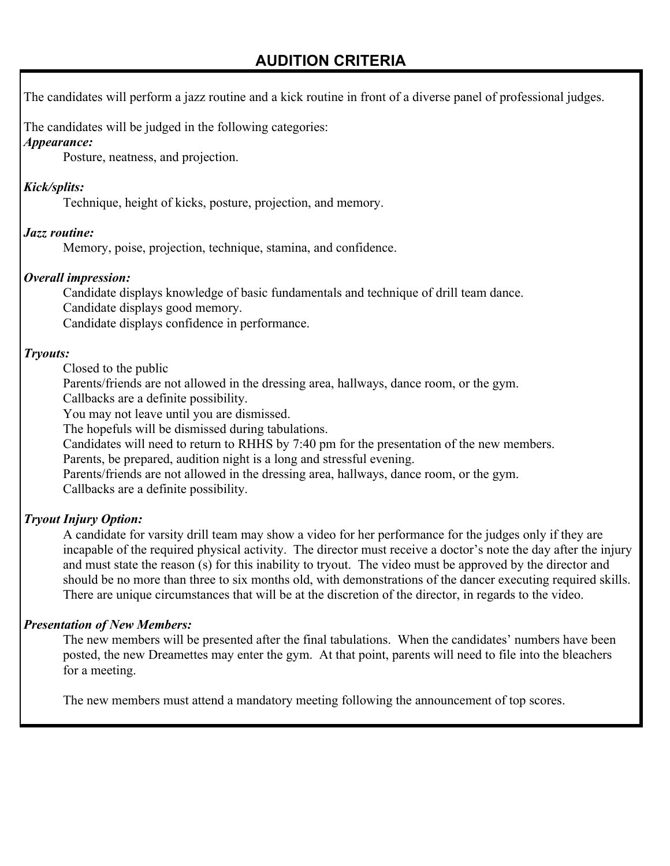## **AUDITION CRITERIA**

The candidates will perform a jazz routine and a kick routine in front of a diverse panel of professional judges.

The candidates will be judged in the following categories:

#### *Appearance:*

Posture, neatness, and projection.

#### *Kick/splits:*

Technique, height of kicks, posture, projection, and memory.

#### *Jazz routine:*

Memory, poise, projection, technique, stamina, and confidence.

#### *Overall impression:*

Candidate displays knowledge of basic fundamentals and technique of drill team dance.

Candidate displays good memory.

Candidate displays confidence in performance.

#### *Tryouts:*

Closed to the public

Parents/friends are not allowed in the dressing area, hallways, dance room, or the gym.

Callbacks are a definite possibility.

You may not leave until you are dismissed.

The hopefuls will be dismissed during tabulations.

Candidates will need to return to RHHS by 7:40 pm for the presentation of the new members.

Parents, be prepared, audition night is a long and stressful evening.

Parents/friends are not allowed in the dressing area, hallways, dance room, or the gym.

Callbacks are a definite possibility.

#### *Tryout Injury Option:*

A candidate for varsity drill team may show a video for her performance for the judges only if they are incapable of the required physical activity. The director must receive a doctor's note the day after the injury and must state the reason (s) for this inability to tryout. The video must be approved by the director and should be no more than three to six months old, with demonstrations of the dancer executing required skills. There are unique circumstances that will be at the discretion of the director, in regards to the video.

#### *Presentation of New Members:*

The new members will be presented after the final tabulations. When the candidates' numbers have been posted, the new Dreamettes may enter the gym. At that point, parents will need to file into the bleachers for a meeting.

The new members must attend a mandatory meeting following the announcement of top scores.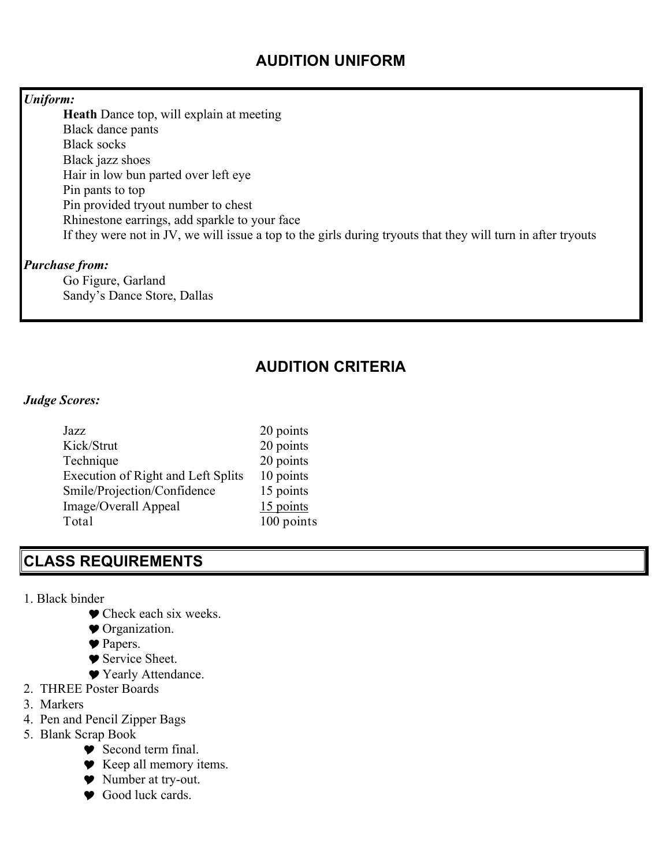### **AUDITION UNIFORM**

#### *Uniform:*

**Heath** Dance top, will explain at meeting Black dance pants Black socks Black jazz shoes Hair in low bun parted over left eye Pin pants to top Pin provided tryout number to chest Rhinestone earrings, add sparkle to your face If they were not in JV, we will issue a top to the girls during tryouts that they will turn in after tryouts

#### *Purchase from:*

Go Figure, Garland Sandy's Dance Store, Dallas

## **AUDITION CRITERIA**

#### *Judge Scores:*

| Jazz                                      | 20 points  |
|-------------------------------------------|------------|
| Kick/Strut                                | 20 points  |
| Technique                                 | 20 points  |
| <b>Execution of Right and Left Splits</b> | 10 points  |
| Smile/Projection/Confidence               | 15 points  |
| Image/Overall Appeal                      | 15 points  |
| Total                                     | 100 points |

### **CLASS REQUIREMENTS**

- 1. Black binder
	- $\blacktriangleright$  Check each six weeks.
	- $\bullet$  Organization.
	- Papers.
	- ♥ Service Sheet.
	- ♥ Yearly Attendance.
- 2. THREE Poster Boards
- 3. Markers
- 4. Pen and Pencil Zipper Bags
- 5. Blank Scrap Book
	- Y Second term final.
	- ◆ Keep all memory items.
	- ◆ Number at try-out.
	- $\bullet$  Good luck cards.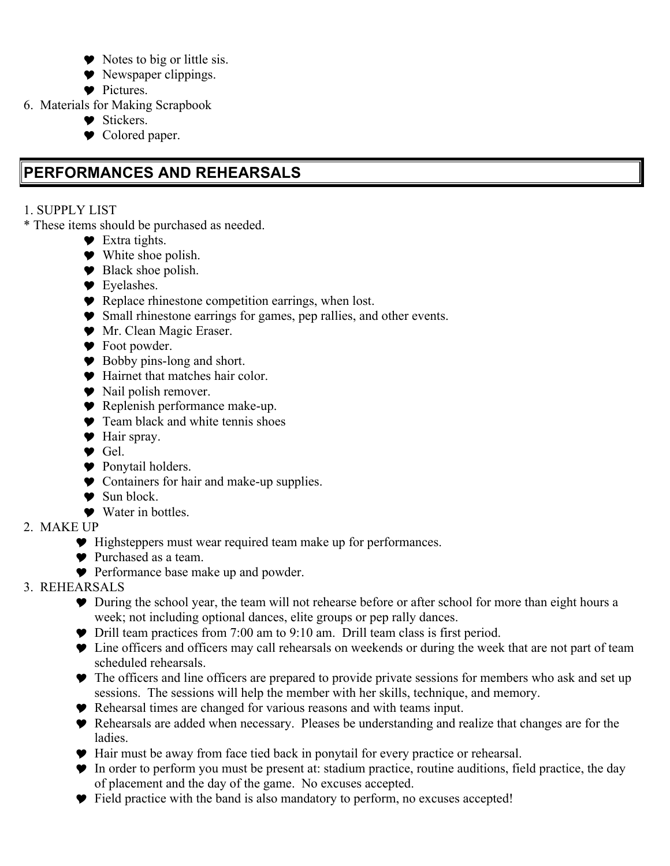- $\blacktriangleright$  Notes to big or little sis.
- $\blacktriangleright$  Newspaper clippings.
- $\bullet$  Pictures.
- 6. Materials for Making Scrapbook
	- ◆ Stickers.
	- $\bullet$  Colored paper.

# **PERFORMANCES AND REHEARSALS**

- 1. SUPPLY LIST
- \* These items should be purchased as needed.
	- $\bullet$  Extra tights.
	- $\bullet$  White shoe polish.
	- $\bullet$  Black shoe polish.
	- $\blacktriangleright$  Eyelashes.
	- Y Replace rhinestone competition earrings, when lost.
	- Y Small rhinestone earrings for games, pep rallies, and other events.
	- $\blacktriangleright$  Mr. Clean Magic Eraser.
	- $\bullet$  Foot powder.
	- $\bullet$  Bobby pins-long and short.
	- Y Hairnet that matches hair color.
	- $\bullet$  Nail polish remover.
	- Y Replenish performance make-up.
	- $\bullet$  Team black and white tennis shoes
	- ◆ Hair spray.
	- Y Gel.
	- ◆ Ponytail holders.
	- $\bullet$  Containers for hair and make-up supplies.
	- $\bullet$  Sun block.
	- **▼** Water in bottles
- 2. MAKE UP
	- Y Highsteppers must wear required team make up for performances.
	- **▼** Purchased as a team.
	- **Performance base make up and powder.**
- 3. REHEARSALS
	- Y During the school year, the team will not rehearse before or after school for more than eight hours a week; not including optional dances, elite groups or pep rally dances.
	- $\blacktriangleright$  Drill team practices from 7:00 am to 9:10 am. Drill team class is first period.
	- $\bullet$  Line officers and officers may call rehearsals on weekends or during the week that are not part of team scheduled rehearsals.
	- $\bullet$  The officers and line officers are prepared to provide private sessions for members who ask and set up sessions. The sessions will help the member with her skills, technique, and memory.
	- Y Rehearsal times are changed for various reasons and with teams input.
	- Y Rehearsals are added when necessary. Pleases be understanding and realize that changes are for the ladies.
	- Y Hair must be away from face tied back in ponytail for every practice or rehearsal.
	- Y In order to perform you must be present at: stadium practice, routine auditions, field practice, the day of placement and the day of the game. No excuses accepted.
	- Y Field practice with the band is also mandatory to perform, no excuses accepted!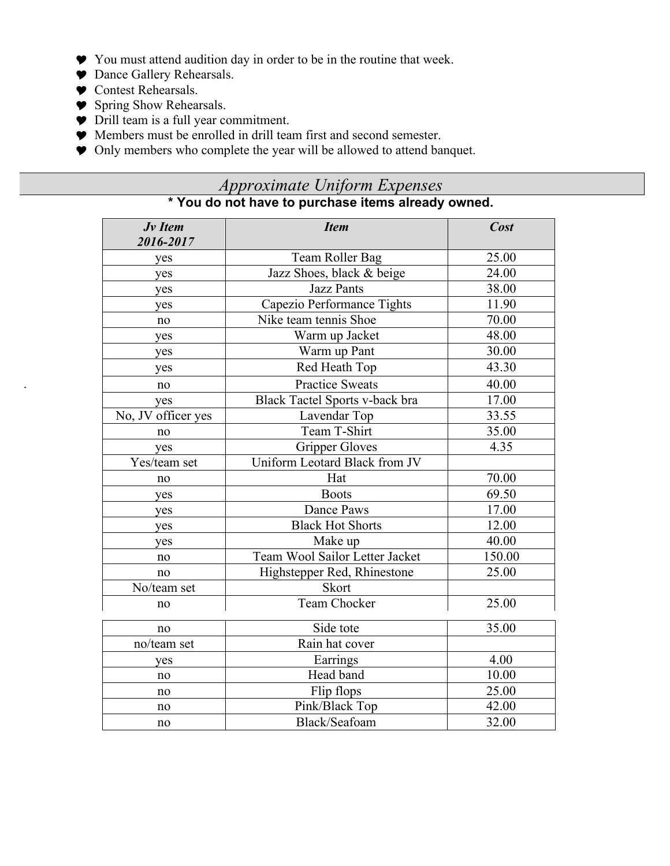- Y You must attend audition day in order to be in the routine that week.
- $\bullet$  Dance Gallery Rehearsals.
- $\bullet$  Contest Rehearsals.

.

- $\bullet$  Spring Show Rehearsals.
- Y Drill team is a full year commitment.
- Y Members must be enrolled in drill team first and second semester.
- Y Only members who complete the year will be allowed to attend banquet.

# *Approximate Uniform Expenses*

|  | * You do not have to purchase items already owned. |  |
|--|----------------------------------------------------|--|
|  |                                                    |  |

| Jv Item<br>2016-2017 | <b>Item</b>                    | <b>Cost</b> |
|----------------------|--------------------------------|-------------|
| yes                  | Team Roller Bag                | 25.00       |
| yes                  | Jazz Shoes, black & beige      | 24.00       |
| yes                  | <b>Jazz Pants</b>              | 38.00       |
| yes                  | Capezio Performance Tights     | 11.90       |
| no                   | Nike team tennis Shoe          | 70.00       |
| yes                  | Warm up Jacket                 | 48.00       |
| yes                  | Warm up Pant                   | 30.00       |
| yes                  | Red Heath Top                  | 43.30       |
| no                   | <b>Practice Sweats</b>         | 40.00       |
| yes                  | Black Tactel Sports v-back bra | 17.00       |
| No, JV officer yes   | Lavendar Top                   | 33.55       |
| no                   | Team T-Shirt                   | 35.00       |
| yes                  | <b>Gripper Gloves</b>          | 4.35        |
| Yes/team set         | Uniform Leotard Black from JV  |             |
| no                   | Hat                            | 70.00       |
| yes                  | <b>Boots</b>                   | 69.50       |
| yes                  | Dance Paws                     | 17.00       |
| yes                  | <b>Black Hot Shorts</b>        | 12.00       |
| yes                  | Make up                        | 40.00       |
| no                   | Team Wool Sailor Letter Jacket | 150.00      |
| no                   | Highstepper Red, Rhinestone    | 25.00       |
| No/team set          | <b>Skort</b>                   |             |
| no                   | <b>Team Chocker</b>            | 25.00       |
| no                   | Side tote                      | 35.00       |
| no/team set          | Rain hat cover                 |             |
| yes                  | Earrings                       | 4.00        |
| no                   | Head band                      | 10.00       |
| no                   | Flip flops                     | 25.00       |
| no                   | Pink/Black Top                 | 42.00       |
| no                   | Black/Seafoam                  | 32.00       |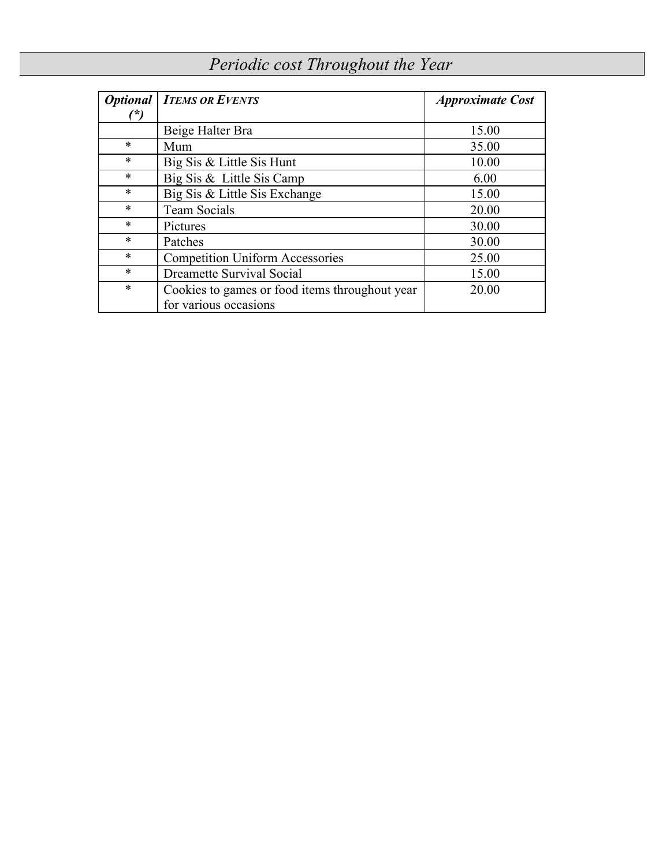# *Periodic cost Throughout the Year*

|        | <b>Optional   ITEMS OR EVENTS</b>              | <i><b>Approximate Cost</b></i> |
|--------|------------------------------------------------|--------------------------------|
| (*)    |                                                |                                |
|        | Beige Halter Bra                               | 15.00                          |
| $\ast$ | Mum                                            | 35.00                          |
| $\ast$ | Big Sis & Little Sis Hunt                      | 10.00                          |
| $\ast$ | Big Sis & Little Sis Camp                      | 6.00                           |
| $\ast$ | Big Sis & Little Sis Exchange                  | 15.00                          |
| $\ast$ | <b>Team Socials</b>                            | 20.00                          |
| $\ast$ | Pictures                                       | 30.00                          |
| $\ast$ | Patches                                        | 30.00                          |
| $\ast$ | <b>Competition Uniform Accessories</b>         | 25.00                          |
| $\ast$ | Dreamette Survival Social                      | 15.00                          |
| $\ast$ | Cookies to games or food items throughout year | 20.00                          |
|        | for various occasions                          |                                |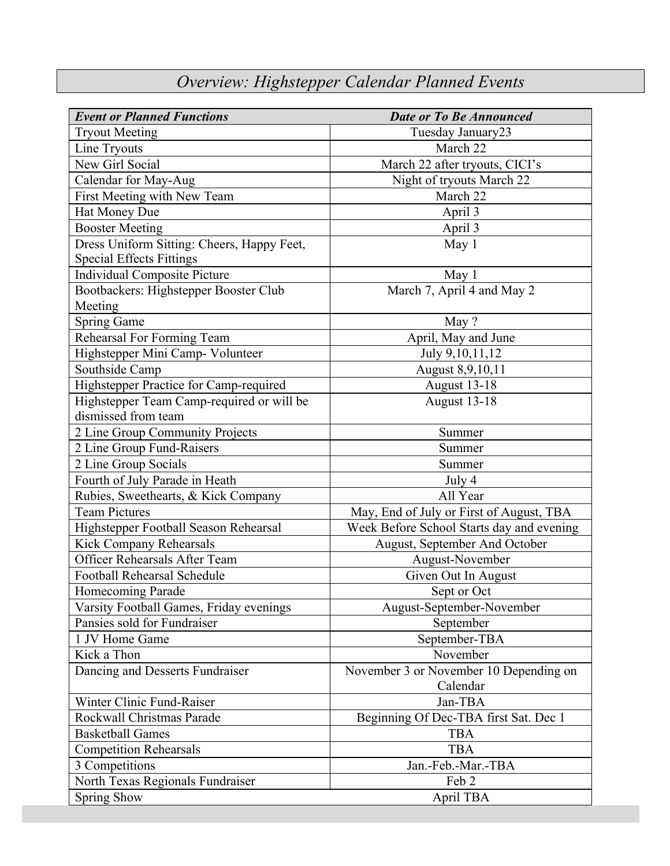# *Overview: Highstepper Calendar Planned Events*

| <b>Event or Planned Functions</b>          | <b>Date or To Be Announced</b>            |  |  |  |
|--------------------------------------------|-------------------------------------------|--|--|--|
| <b>Tryout Meeting</b>                      | Tuesday January23                         |  |  |  |
| Line Tryouts                               | March 22                                  |  |  |  |
| New Girl Social                            | March 22 after tryouts, CICI's            |  |  |  |
| Calendar for May-Aug                       | Night of tryouts March 22                 |  |  |  |
| First Meeting with New Team                | March 22                                  |  |  |  |
| Hat Money Due                              | April 3                                   |  |  |  |
| <b>Booster Meeting</b>                     | April 3                                   |  |  |  |
| Dress Uniform Sitting: Cheers, Happy Feet, | May $1$                                   |  |  |  |
| <b>Special Effects Fittings</b>            |                                           |  |  |  |
| <b>Individual Composite Picture</b>        | May 1                                     |  |  |  |
| Bootbackers: Highstepper Booster Club      | March 7, April 4 and May 2                |  |  |  |
| Meeting                                    |                                           |  |  |  |
| <b>Spring Game</b>                         | May ?                                     |  |  |  |
| Rehearsal For Forming Team                 | April, May and June                       |  |  |  |
| Highstepper Mini Camp- Volunteer           | July 9, 10, 11, 12                        |  |  |  |
| Southside Camp                             | August 8,9,10,11                          |  |  |  |
| Highstepper Practice for Camp-required     | August 13-18                              |  |  |  |
| Highstepper Team Camp-required or will be  | <b>August 13-18</b>                       |  |  |  |
| dismissed from team                        |                                           |  |  |  |
| 2 Line Group Community Projects            | Summer                                    |  |  |  |
| 2 Line Group Fund-Raisers                  | Summer                                    |  |  |  |
| 2 Line Group Socials                       | Summer                                    |  |  |  |
| Fourth of July Parade in Heath             | July 4                                    |  |  |  |
| Rubies, Sweethearts, & Kick Company        | All Year                                  |  |  |  |
| <b>Team Pictures</b>                       | May, End of July or First of August, TBA  |  |  |  |
| Highstepper Football Season Rehearsal      | Week Before School Starts day and evening |  |  |  |
| Kick Company Rehearsals                    | August, September And October             |  |  |  |
| Officer Rehearsals After Team              | August-November                           |  |  |  |
| <b>Football Rehearsal Schedule</b>         | Given Out In August                       |  |  |  |
| <b>Homecoming Parade</b>                   | Sept or Oct                               |  |  |  |
| Varsity Football Games, Friday evenings    | August-September-November                 |  |  |  |
| Pansies sold for Fundraiser                | September                                 |  |  |  |
| 1 JV Home Game                             | September-TBA                             |  |  |  |
| Kick a Thon                                | November                                  |  |  |  |
| Dancing and Desserts Fundraiser            | November 3 or November 10 Depending on    |  |  |  |
|                                            | Calendar                                  |  |  |  |
| Winter Clinic Fund-Raiser                  | Jan-TBA                                   |  |  |  |
| Rockwall Christmas Parade                  | Beginning Of Dec-TBA first Sat. Dec 1     |  |  |  |
| <b>Basketball Games</b>                    | <b>TBA</b>                                |  |  |  |
| <b>Competition Rehearsals</b>              | <b>TBA</b>                                |  |  |  |
| 3 Competitions                             | Jan.-Feb.-Mar.-TBA                        |  |  |  |
| North Texas Regionals Fundraiser           | Feb 2                                     |  |  |  |
| <b>Spring Show</b>                         | April TBA                                 |  |  |  |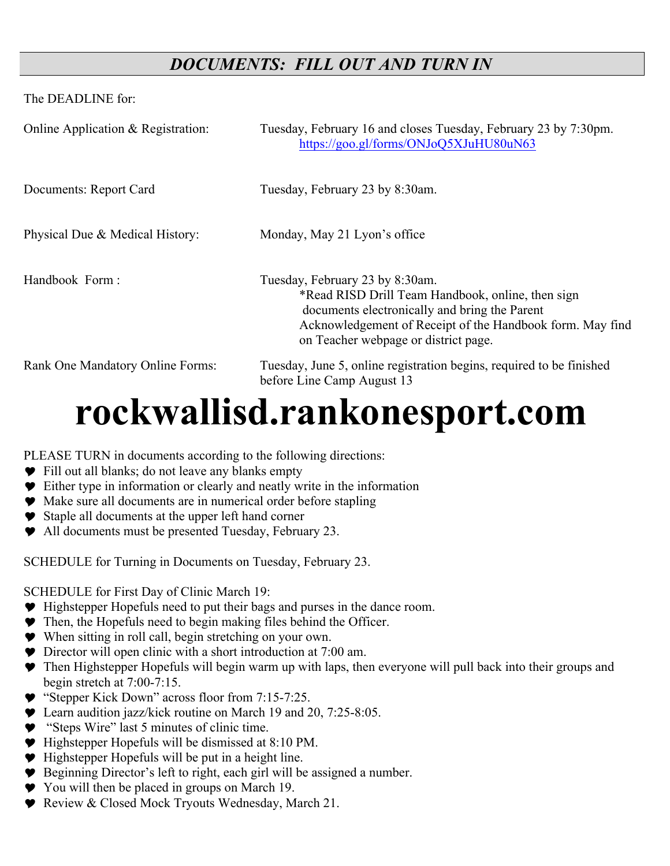# *DOCUMENTS: FILL OUT AND TURN IN*

The DEADLINE for:

| Online Application $&$ Registration: | Tuesday, February 16 and closes Tuesday, February 23 by 7:30pm.<br>https://goo.gl/forms/ONJoQ5XJuHU80uN63                                                                                                                                  |
|--------------------------------------|--------------------------------------------------------------------------------------------------------------------------------------------------------------------------------------------------------------------------------------------|
| Documents: Report Card               | Tuesday, February 23 by 8:30am.                                                                                                                                                                                                            |
| Physical Due & Medical History:      | Monday, May 21 Lyon's office                                                                                                                                                                                                               |
| Handbook Form:                       | Tuesday, February 23 by 8:30am.<br>*Read RISD Drill Team Handbook, online, then sign<br>documents electronically and bring the Parent<br>Acknowledgement of Receipt of the Handbook form. May find<br>on Teacher webpage or district page. |
| Rank One Mandatory Online Forms:     | Tuesday, June 5, online registration begins, required to be finished<br>before Line Camp August 13                                                                                                                                         |

# **rockwallisd.rankonesport.com**

PLEASE TURN in documents according to the following directions:

- Y Fill out all blanks; do not leave any blanks empty
- Y Either type in information or clearly and neatly write in the information
- Y Make sure all documents are in numerical order before stapling
- Y Staple all documents at the upper left hand corner
- Y All documents must be presented Tuesday, February 23.

SCHEDULE for Turning in Documents on Tuesday, February 23.

SCHEDULE for First Day of Clinic March 19:

- Y Highstepper Hopefuls need to put their bags and purses in the dance room.
- $\blacktriangleright$  Then, the Hopefuls need to begin making files behind the Officer.
- Y When sitting in roll call, begin stretching on your own.
- Y Director will open clinic with a short introduction at 7:00 am.
- Y Then Highstepper Hopefuls will begin warm up with laps, then everyone will pull back into their groups and begin stretch at 7:00-7:15.
- ◆ "Stepper Kick Down" across floor from 7:15-7:25.
- $\blacktriangleright$  Learn audition jazz/kick routine on March 19 and 20, 7:25-8:05.
- Y "Steps Wire" last 5 minutes of clinic time.
- Y Highstepper Hopefuls will be dismissed at 8:10 PM.
- Y Highstepper Hopefuls will be put in a height line.
- Y Beginning Director's left to right, each girl will be assigned a number.
- ◆ You will then be placed in groups on March 19.
- ◆ Review & Closed Mock Tryouts Wednesday, March 21.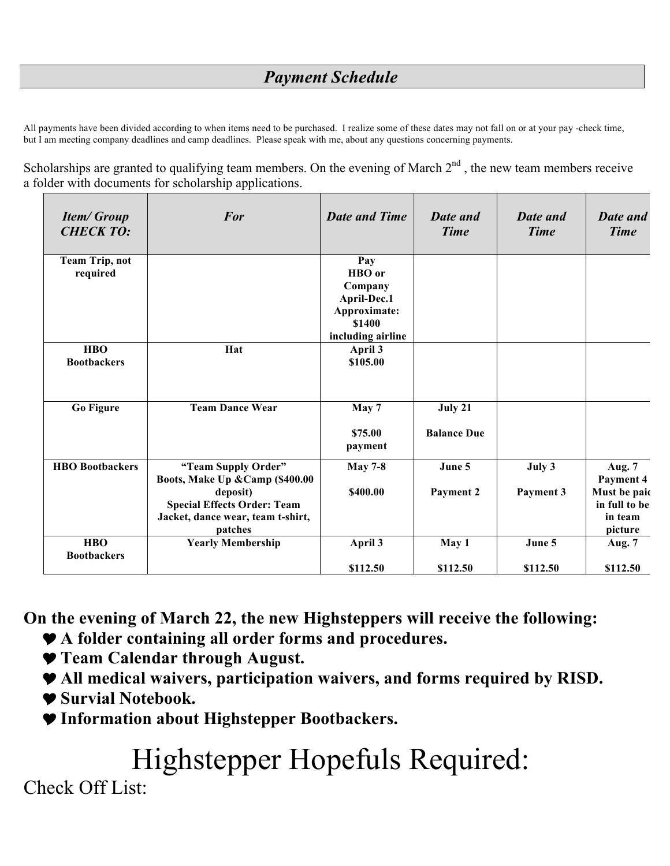# *Payment Schedule*

All payments have been divided according to when items need to be purchased. I realize some of these dates may not fall on or at your pay -check time, but I am meeting company deadlines and camp deadlines. Please speak with me, about any questions concerning payments.

Scholarships are granted to qualifying team members. On the evening of March  $2<sup>nd</sup>$ , the new team members receive a folder with documents for scholarship applications.

| <b>Item/Group</b><br><b>CHECK TO:</b> | For                                                                                                                                                      | <b>Date and Time</b>                        | <b>Date and</b><br><b>Time</b> | <b>Date and</b><br><b>Time</b> | <b>Date and</b><br><b>Time</b>                                                    |
|---------------------------------------|----------------------------------------------------------------------------------------------------------------------------------------------------------|---------------------------------------------|--------------------------------|--------------------------------|-----------------------------------------------------------------------------------|
| <b>Team Trip, not</b><br>required     |                                                                                                                                                          | Pay<br>HBO or<br>Company<br>April-Dec.1     |                                |                                |                                                                                   |
|                                       |                                                                                                                                                          | Approximate:<br>\$1400<br>including airline |                                |                                |                                                                                   |
| <b>HBO</b><br><b>Bootbackers</b>      | Hat                                                                                                                                                      | April 3<br>\$105.00                         |                                |                                |                                                                                   |
| <b>Go Figure</b>                      | <b>Team Dance Wear</b>                                                                                                                                   | May 7<br>\$75.00<br>payment                 | July 21<br><b>Balance Due</b>  |                                |                                                                                   |
| <b>HBO</b> Bootbackers                | "Team Supply Order"<br>Boots, Make Up & Camp (\$400.00<br>deposit)<br><b>Special Effects Order: Team</b><br>Jacket, dance wear, team t-shirt,<br>patches | <b>May 7-8</b><br>\$400.00                  | June 5<br>Payment 2            | July 3<br>Payment 3            | <b>Aug. 7</b><br>Payment 4<br>Must be paid<br>in full to be<br>in team<br>picture |
| <b>HBO</b><br><b>Bootbackers</b>      | <b>Yearly Membership</b>                                                                                                                                 | April 3                                     | May 1                          | June 5                         | Aug. 7                                                                            |
|                                       |                                                                                                                                                          | \$112.50                                    | \$112.50                       | \$112.50                       | \$112.50                                                                          |

**On the evening of March 22, the new Highsteppers will receive the following:**

- Y**A folder containing all order forms and procedures.**
- Y**Team Calendar through August.**
- Y**All medical waivers, participation waivers, and forms required by RISD.**
- Y**Survial Notebook.**
- Y**Information about Highstepper Bootbackers.**

# Highstepper Hopefuls Required:

Check Off List: